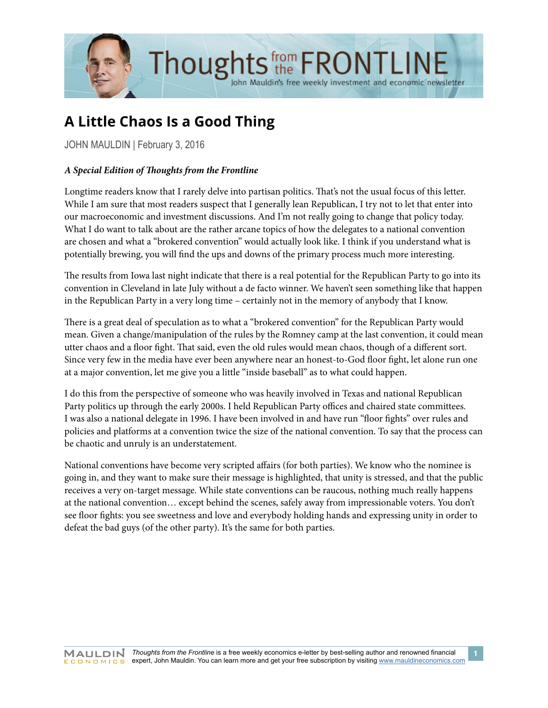

# **A Little Chaos Is a Good Thing**

JOHN MAULDIN | February 3, 2016

# *A Special Edition of Thoughts from the Frontline*

Longtime readers know that I rarely delve into partisan politics. That's not the usual focus of this letter. While I am sure that most readers suspect that I generally lean Republican, I try not to let that enter into our macroeconomic and investment discussions. And I'm not really going to change that policy today. What I do want to talk about are the rather arcane topics of how the delegates to a national convention are chosen and what a "brokered convention" would actually look like. I think if you understand what is potentially brewing, you will find the ups and downs of the primary process much more interesting.

The results from Iowa last night indicate that there is a real potential for the Republican Party to go into its convention in Cleveland in late July without a de facto winner. We haven't seen something like that happen in the Republican Party in a very long time – certainly not in the memory of anybody that I know.

There is a great deal of speculation as to what a "brokered convention" for the Republican Party would mean. Given a change/manipulation of the rules by the Romney camp at the last convention, it could mean utter chaos and a floor fight. That said, even the old rules would mean chaos, though of a different sort. Since very few in the media have ever been anywhere near an honest-to-God floor fight, let alone run one at a major convention, let me give you a little "inside baseball" as to what could happen.

I do this from the perspective of someone who was heavily involved in Texas and national Republican Party politics up through the early 2000s. I held Republican Party offices and chaired state committees. I was also a national delegate in 1996. I have been involved in and have run "floor fights" over rules and policies and platforms at a convention twice the size of the national convention. To say that the process can be chaotic and unruly is an understatement.

National conventions have become very scripted affairs (for both parties). We know who the nominee is going in, and they want to make sure their message is highlighted, that unity is stressed, and that the public receives a very on-target message. While state conventions can be raucous, nothing much really happens at the national convention… except behind the scenes, safely away from impressionable voters. You don't see floor fights: you see sweetness and love and everybody holding hands and expressing unity in order to defeat the bad guys (of the other party). It's the same for both parties.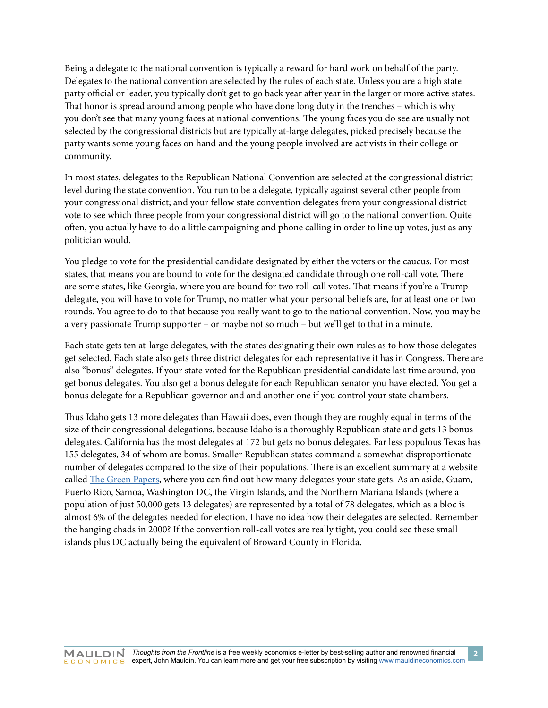Being a delegate to the national convention is typically a reward for hard work on behalf of the party. Delegates to the national convention are selected by the rules of each state. Unless you are a high state party official or leader, you typically don't get to go back year after year in the larger or more active states. That honor is spread around among people who have done long duty in the trenches – which is why you don't see that many young faces at national conventions. The young faces you do see are usually not selected by the congressional districts but are typically at-large delegates, picked precisely because the party wants some young faces on hand and the young people involved are activists in their college or community.

In most states, delegates to the Republican National Convention are selected at the congressional district level during the state convention. You run to be a delegate, typically against several other people from your congressional district; and your fellow state convention delegates from your congressional district vote to see which three people from your congressional district will go to the national convention. Quite often, you actually have to do a little campaigning and phone calling in order to line up votes, just as any politician would.

You pledge to vote for the presidential candidate designated by either the voters or the caucus. For most states, that means you are bound to vote for the designated candidate through one roll-call vote. There are some states, like Georgia, where you are bound for two roll-call votes. That means if you're a Trump delegate, you will have to vote for Trump, no matter what your personal beliefs are, for at least one or two rounds. You agree to do to that because you really want to go to the national convention. Now, you may be a very passionate Trump supporter – or maybe not so much – but we'll get to that in a minute.

Each state gets ten at-large delegates, with the states designating their own rules as to how those delegates get selected. Each state also gets three district delegates for each representative it has in Congress. There are also "bonus" delegates. If your state voted for the Republican presidential candidate last time around, you get bonus delegates. You also get a bonus delegate for each Republican senator you have elected. You get a bonus delegate for a Republican governor and and another one if you control your state chambers.

Thus Idaho gets 13 more delegates than Hawaii does, even though they are roughly equal in terms of the size of their congressional delegations, because Idaho is a thoroughly Republican state and gets 13 bonus delegates. California has the most delegates at 172 but gets no bonus delegates. Far less populous Texas has 155 delegates, 34 of whom are bonus. Smaller Republican states command a somewhat disproportionate number of delegates compared to the size of their populations. There is an excellent summary at a website called [The Green Papers,](http://www.thegreenpapers.com/P16/R-Alloc.phtml) where you can find out how many delegates your state gets. As an aside, Guam, Puerto Rico, Samoa, Washington DC, the Virgin Islands, and the Northern Mariana Islands (where a population of just 50,000 gets 13 delegates) are represented by a total of 78 delegates, which as a bloc is almost 6% of the delegates needed for election. I have no idea how their delegates are selected. Remember the hanging chads in 2000? If the convention roll-call votes are really tight, you could see these small islands plus DC actually being the equivalent of Broward County in Florida.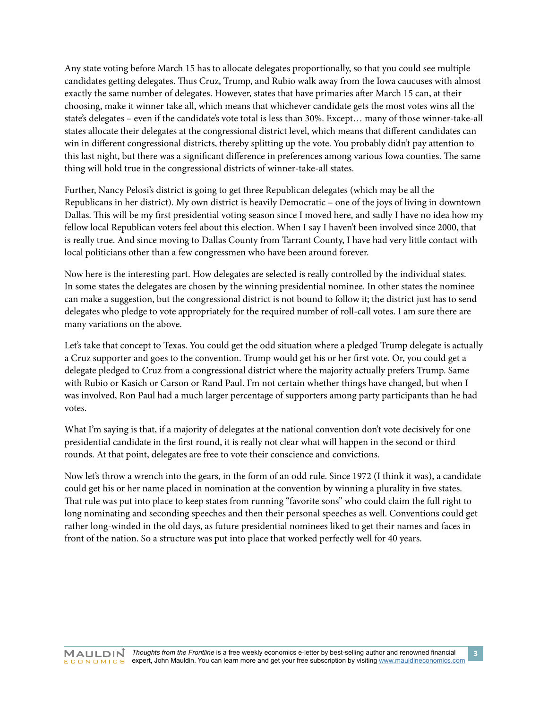Any state voting before March 15 has to allocate delegates proportionally, so that you could see multiple candidates getting delegates. Thus Cruz, Trump, and Rubio walk away from the Iowa caucuses with almost exactly the same number of delegates. However, states that have primaries after March 15 can, at their choosing, make it winner take all, which means that whichever candidate gets the most votes wins all the state's delegates – even if the candidate's vote total is less than 30%. Except… many of those winner-take-all states allocate their delegates at the congressional district level, which means that different candidates can win in different congressional districts, thereby splitting up the vote. You probably didn't pay attention to this last night, but there was a significant difference in preferences among various Iowa counties. The same thing will hold true in the congressional districts of winner-take-all states.

Further, Nancy Pelosi's district is going to get three Republican delegates (which may be all the Republicans in her district). My own district is heavily Democratic – one of the joys of living in downtown Dallas. This will be my first presidential voting season since I moved here, and sadly I have no idea how my fellow local Republican voters feel about this election. When I say I haven't been involved since 2000, that is really true. And since moving to Dallas County from Tarrant County, I have had very little contact with local politicians other than a few congressmen who have been around forever.

Now here is the interesting part. How delegates are selected is really controlled by the individual states. In some states the delegates are chosen by the winning presidential nominee. In other states the nominee can make a suggestion, but the congressional district is not bound to follow it; the district just has to send delegates who pledge to vote appropriately for the required number of roll-call votes. I am sure there are many variations on the above.

Let's take that concept to Texas. You could get the odd situation where a pledged Trump delegate is actually a Cruz supporter and goes to the convention. Trump would get his or her first vote. Or, you could get a delegate pledged to Cruz from a congressional district where the majority actually prefers Trump. Same with Rubio or Kasich or Carson or Rand Paul. I'm not certain whether things have changed, but when I was involved, Ron Paul had a much larger percentage of supporters among party participants than he had votes.

What I'm saying is that, if a majority of delegates at the national convention don't vote decisively for one presidential candidate in the first round, it is really not clear what will happen in the second or third rounds. At that point, delegates are free to vote their conscience and convictions.

Now let's throw a wrench into the gears, in the form of an odd rule. Since 1972 (I think it was), a candidate could get his or her name placed in nomination at the convention by winning a plurality in five states. That rule was put into place to keep states from running "favorite sons" who could claim the full right to long nominating and seconding speeches and then their personal speeches as well. Conventions could get rather long-winded in the old days, as future presidential nominees liked to get their names and faces in front of the nation. So a structure was put into place that worked perfectly well for 40 years.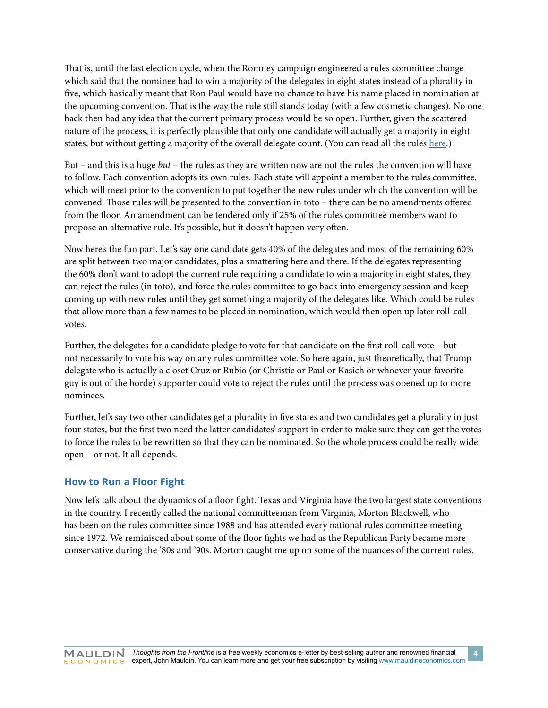That is, until the last election cycle, when the Romney campaign engineered a rules committee change which said that the nominee had to win a majority of the delegates in eight states instead of a plurality in five, which basically meant that Ron Paul would have no chance to have his name placed in nomination at the upcoming convention. That is the way the rule still stands today (with a few cosmetic changes). No one back then had any idea that the current primary process would be so open. Further, given the scattered nature of the process, it is perfectly plausible that only one candidate will actually get a majority in eight states, but without getting a majority of the overall delegate count. (You can read all the rules [here.](https://s3.amazonaws.com/prod-static-ngop-pbl/docs/Rules_of_the_Republican+Party_FINAL_S14090314.pdf))

But – and this is a huge *but* – the rules as they are written now are not the rules the convention will have to follow. Each convention adopts its own rules. Each state will appoint a member to the rules committee, which will meet prior to the convention to put together the new rules under which the convention will be convened. Those rules will be presented to the convention in toto – there can be no amendments offered from the floor. An amendment can be tendered only if 25% of the rules committee members want to propose an alternative rule. It's possible, but it doesn't happen very often.

Now here's the fun part. Let's say one candidate gets 40% of the delegates and most of the remaining 60% are split between two major candidates, plus a smattering here and there. If the delegates representing the 60% don't want to adopt the current rule requiring a candidate to win a majority in eight states, they can reject the rules (in toto), and force the rules committee to go back into emergency session and keep coming up with new rules until they get something a majority of the delegates like. Which could be rules that allow more than a few names to be placed in nomination, which would then open up later roll-call votes.

Further, the delegates for a candidate pledge to vote for that candidate on the first roll-call vote – but not necessarily to vote his way on any rules committee vote. So here again, just theoretically, that Trump delegate who is actually a closet Cruz or Rubio (or Christie or Paul or Kasich or whoever your favorite guy is out of the horde) supporter could vote to reject the rules until the process was opened up to more nominees.

Further, let's say two other candidates get a plurality in five states and two candidates get a plurality in just four states, but the first two need the latter candidates' support in order to make sure they can get the votes to force the rules to be rewritten so that they can be nominated. So the whole process could be really wide open – or not. It all depends.

# **How to Run a Floor Fight**

Now let's talk about the dynamics of a floor fight. Texas and Virginia have the two largest state conventions in the country. I recently called the national committeeman from Virginia, Morton Blackwell, who has been on the rules committee since 1988 and has attended every national rules committee meeting since 1972. We reminisced about some of the floor fights we had as the Republican Party became more conservative during the '80s and '90s. Morton caught me up on some of the nuances of the current rules.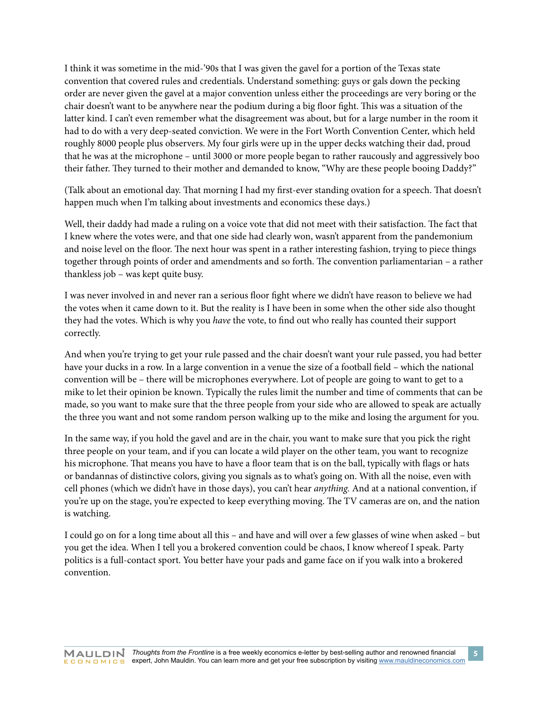I think it was sometime in the mid-'90s that I was given the gavel for a portion of the Texas state convention that covered rules and credentials. Understand something: guys or gals down the pecking order are never given the gavel at a major convention unless either the proceedings are very boring or the chair doesn't want to be anywhere near the podium during a big floor fight. This was a situation of the latter kind. I can't even remember what the disagreement was about, but for a large number in the room it had to do with a very deep-seated conviction. We were in the Fort Worth Convention Center, which held roughly 8000 people plus observers. My four girls were up in the upper decks watching their dad, proud that he was at the microphone – until 3000 or more people began to rather raucously and aggressively boo their father. They turned to their mother and demanded to know, "Why are these people booing Daddy?"

(Talk about an emotional day. That morning I had my first-ever standing ovation for a speech. That doesn't happen much when I'm talking about investments and economics these days.)

Well, their daddy had made a ruling on a voice vote that did not meet with their satisfaction. The fact that I knew where the votes were, and that one side had clearly won, wasn't apparent from the pandemonium and noise level on the floor. The next hour was spent in a rather interesting fashion, trying to piece things together through points of order and amendments and so forth. The convention parliamentarian – a rather thankless job – was kept quite busy.

I was never involved in and never ran a serious floor fight where we didn't have reason to believe we had the votes when it came down to it. But the reality is I have been in some when the other side also thought they had the votes. Which is why you *have* the vote, to find out who really has counted their support correctly.

And when you're trying to get your rule passed and the chair doesn't want your rule passed, you had better have your ducks in a row. In a large convention in a venue the size of a football field – which the national convention will be – there will be microphones everywhere. Lot of people are going to want to get to a mike to let their opinion be known. Typically the rules limit the number and time of comments that can be made, so you want to make sure that the three people from your side who are allowed to speak are actually the three you want and not some random person walking up to the mike and losing the argument for you.

In the same way, if you hold the gavel and are in the chair, you want to make sure that you pick the right three people on your team, and if you can locate a wild player on the other team, you want to recognize his microphone. That means you have to have a floor team that is on the ball, typically with flags or hats or bandannas of distinctive colors, giving you signals as to what's going on. With all the noise, even with cell phones (which we didn't have in those days), you can't hear *anything.* And at a national convention, if you're up on the stage, you're expected to keep everything moving. The TV cameras are on, and the nation is watching.

I could go on for a long time about all this – and have and will over a few glasses of wine when asked – but you get the idea. When I tell you a brokered convention could be chaos, I know whereof I speak. Party politics is a full-contact sport. You better have your pads and game face on if you walk into a brokered convention.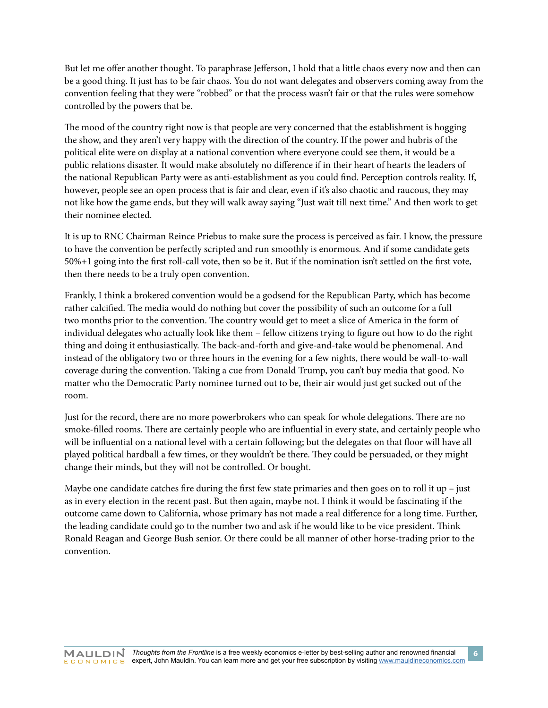But let me offer another thought. To paraphrase Jefferson, I hold that a little chaos every now and then can be a good thing. It just has to be fair chaos. You do not want delegates and observers coming away from the convention feeling that they were "robbed" or that the process wasn't fair or that the rules were somehow controlled by the powers that be.

The mood of the country right now is that people are very concerned that the establishment is hogging the show, and they aren't very happy with the direction of the country. If the power and hubris of the political elite were on display at a national convention where everyone could see them, it would be a public relations disaster. It would make absolutely no difference if in their heart of hearts the leaders of the national Republican Party were as anti-establishment as you could find. Perception controls reality. If, however, people see an open process that is fair and clear, even if it's also chaotic and raucous, they may not like how the game ends, but they will walk away saying "Just wait till next time." And then work to get their nominee elected.

It is up to RNC Chairman Reince Priebus to make sure the process is perceived as fair. I know, the pressure to have the convention be perfectly scripted and run smoothly is enormous. And if some candidate gets 50%+1 going into the first roll-call vote, then so be it. But if the nomination isn't settled on the first vote, then there needs to be a truly open convention.

Frankly, I think a brokered convention would be a godsend for the Republican Party, which has become rather calcified. The media would do nothing but cover the possibility of such an outcome for a full two months prior to the convention. The country would get to meet a slice of America in the form of individual delegates who actually look like them – fellow citizens trying to figure out how to do the right thing and doing it enthusiastically. The back-and-forth and give-and-take would be phenomenal. And instead of the obligatory two or three hours in the evening for a few nights, there would be wall-to-wall coverage during the convention. Taking a cue from Donald Trump, you can't buy media that good. No matter who the Democratic Party nominee turned out to be, their air would just get sucked out of the room.

Just for the record, there are no more powerbrokers who can speak for whole delegations. There are no smoke-filled rooms. There are certainly people who are influential in every state, and certainly people who will be influential on a national level with a certain following; but the delegates on that floor will have all played political hardball a few times, or they wouldn't be there. They could be persuaded, or they might change their minds, but they will not be controlled. Or bought.

Maybe one candidate catches fire during the first few state primaries and then goes on to roll it up  $-$  just as in every election in the recent past. But then again, maybe not. I think it would be fascinating if the outcome came down to California, whose primary has not made a real difference for a long time. Further, the leading candidate could go to the number two and ask if he would like to be vice president. Think Ronald Reagan and George Bush senior. Or there could be all manner of other horse-trading prior to the convention.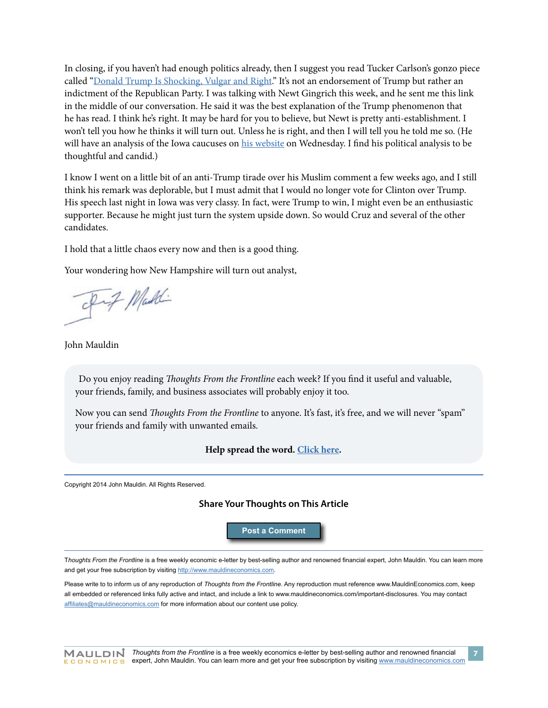In closing, if you haven't had enough politics already, then I suggest you read Tucker Carlson's gonzo piece called ["Donald Trump Is Shocking, Vulgar and Right.](http://www.politico.com/magazine/story/2016/01/donald-trump-is-shocking-vulgar-and-right-213572?paginate=false)" It's not an endorsement of Trump but rather an indictment of the Republican Party. I was talking with Newt Gingrich this week, and he sent me this link in the middle of our conversation. He said it was the best explanation of the Trump phenomenon that he has read. I think he's right. It may be hard for you to believe, but Newt is pretty anti-establishment. I won't tell you how he thinks it will turn out. Unless he is right, and then I will tell you he told me so. (He will have an analysis of the Iowa caucuses on [his website](http://www.gingrichproductions.com/) on Wednesday. I find his political analysis to be thoughtful and candid.)

I know I went on a little bit of an anti-Trump tirade over his Muslim comment a few weeks ago, and I still think his remark was deplorable, but I must admit that I would no longer vote for Clinton over Trump. His speech last night in Iowa was very classy. In fact, were Trump to win, I might even be an enthusiastic supporter. Because he might just turn the system upside down. So would Cruz and several of the other candidates.

I hold that a little chaos every now and then is a good thing.

Your wondering how New Hampshire will turn out analyst,

of if Maddi

John Mauldin

Do you enjoy reading *Thoughts From the Frontline* each week? If you find it useful and valuable, your friends, family, and business associates will probably enjoy it too.

Now you can send *Thoughts From the Frontline* to anyone. It's fast, it's free, and we will never "spam" your friends and family with unwanted emails.

### **Help spread the word. [Click here.](http://www.mauldineconomics.com/landing/friend-share-thoughts-from-the-frontline)**

Copyright 2014 John Mauldin. All Rights Reserved.

### **Share Your Thoughts on This Article**

**[Post a Comment](http://www.mauldineconomics.com/frontlinethoughts/a-little-chaos-is-a-good-thing)**

T*houghts From the Frontline* is a free weekly economic e-letter by best-selling author and renowned financial expert, John Mauldin. You can learn more and get your free subscription by visiting <http://www.mauldineconomics.com>.

Please write to to inform us of any reproduction of *Thoughts from the Frontline*. Any reproduction must reference www.MauldinEconomics.com, keep all embedded or referenced links fully active and intact, and include a link to www.mauldineconomics.com/important-disclosures. You may contact [affiliates@mauldineconomics.com](mailto:affiliates@mauldineconomics.com) for more information about our content use policy.